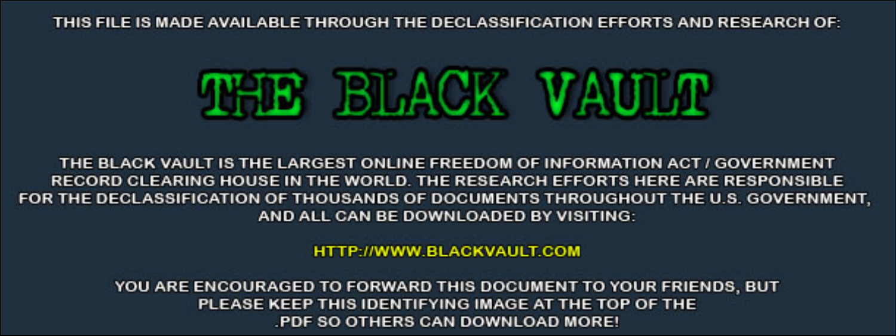THIS FILE IS MADE AVAILABLE THROUGH THE DECLASSIFICATION EFFORTS AND RESEARCH OF:



THE BLACK VAULT IS THE LARGEST ONLINE FREEDOM OF INFORMATION ACT / GOVERNMENT RECORD CLEARING HOUSE IN THE WORLD. THE RESEARCH EFFORTS HERE ARE RESPONSIBLE FOR THE DECLASSIFICATION OF THOUSANDS OF DOCUMENTS THROUGHOUT THE U.S. GOVERNMENT, AND ALL CAN BE DOWNLOADED BY VISITING:

**HTTP://WWW.BLACKVAULT.COM** 

YOU ARE ENCOURAGED TO FORWARD THIS DOCUMENT TO YOUR FRIENDS, BUT PLEASE KEEP THIS IDENTIFYING IMAGE AT THE TOP OF THE PDF SO OTHERS CAN DOWNLOAD MORE!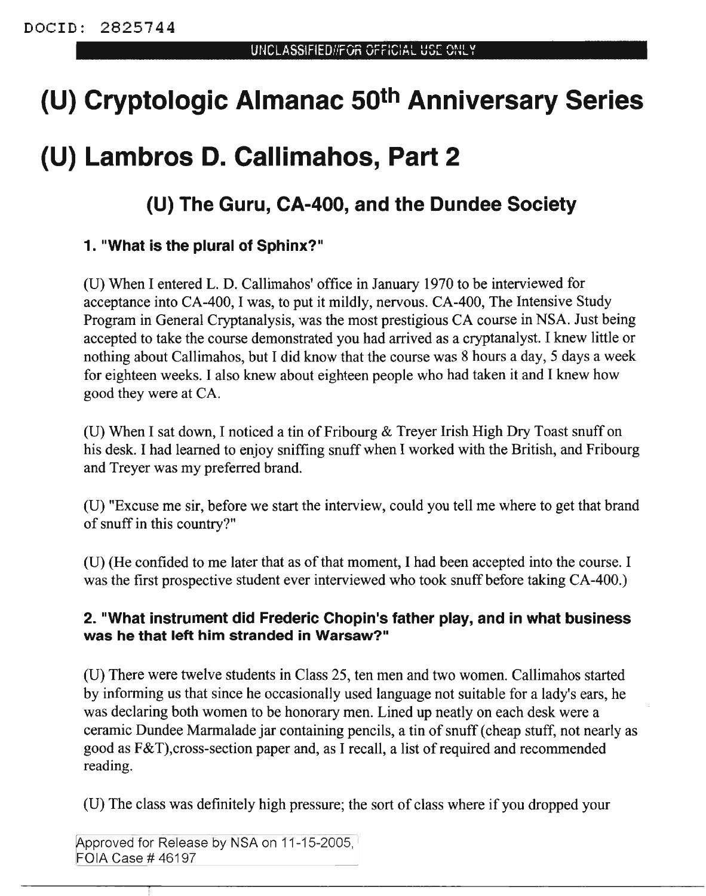# **(U) Cryptologic Almanac 50th Anniversary Series**

## **(U) Lambros D. Callimahos, Part 2**

### **(U) The Guru, CA-400, and the Dundee Society**

#### **1. "What is the plural of Sphinx?"**

(U) When I entered L. D. Callimahos' office in January 1970 to be interviewed for acceptance into CA-400, I was, to put it mildly, nervous. CA-400, The Intensive Study Program in General Cryptanalysis, was the most prestigious CA course in NSA. Just being accepted to take the course demonstrated you had arrived as a cryptanalyst. I knew little or nothing about Callimahos, but I did know that the course was 8 hours a day, 5 days a week for eighteen weeks. I also knew about eighteen people who had taken it and I knew how good they were at CA.

(U) When I sat down, I noticed a tin of Fribourg & Treyer Irish High Dry Toast snuff on his desk. I had learned to enjoy sniffing snuff when I worked with the British, and Fribourg and Treyer was my preferred brand.

(U) "Excuse me sir, before we start the interview, could you tell me where to get that brand of snuff in this country?"

(U) (He confided to me later that as of that moment, I had been accepted into the course. I was the first prospective student ever interviewed who took snuff before taking CA-400.)

#### **2. "What instrument did Frederic Chopin's father play, and in what business was he that left him stranded in Warsaw?"**

(U) There were twelve students in Class 25, ten men and two women. Callimahos started by informing us that since he occasionally used language not suitable for a lady's ears, he was declaring both women to be honorary men. Lined up neatly on each desk were a ceramic Dundee Marmalade jar containing pencils, a tin of snuff (cheap stuff, not nearly as good as  $F&T$ ), cross-section paper and, as I recall, a list of required and recommended reading.

(U) The class was definitely high pressure; the sort of class where if you dropped your

Approved for Release by NSA on 11-15-2005, FOIA Case # 46197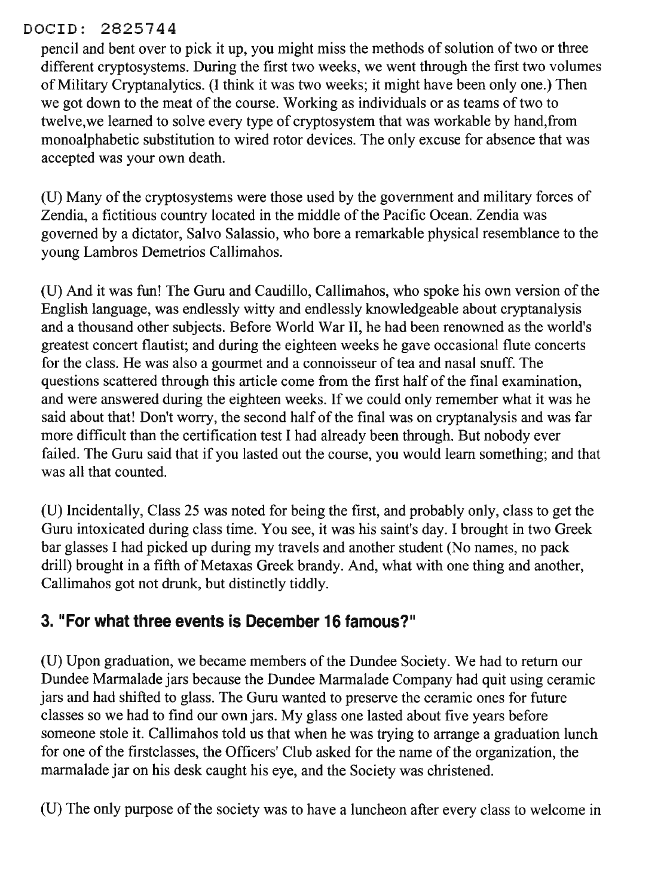#### DOCID: 2825744

pencil and bent over to pick it up, you might miss the methods of solution of two or three different cryptosystems. During the first two weeks, we went through the first two volumes of Military Cryptanalytics. (I think it was two weeks; it might have been only one.) Then we got down to the meat of the course. Working as individuals or as teams of two to twelve,we learned to solve every type of cryptosystem that was workable by hand,from monoalphabetic substitution to wired rotor devices. The only excuse for absence that was accepted was your own death.

(U) Many of the cryptosystems were those used by the government and military forces of Zendia, a fictitious country located in the middle of the Pacific Ocean. Zendia was governed by a dictator, Salvo Salassio, who bore a remarkable physical resemblance to the young Lambros Demetrios Callimahos.

(U) And it was fun! The Guru and Caudillo, Callimahos, who spoke his own version of the English language, was endlessly witty and endlessly knowledgeable about cryptanalysis and a thousand other subjects. Before World War II, he had been renowned as the world's greatest concert flautist; and during the eighteen weeks he gave occasional flute concerts for the class. He was also a gourmet and a connoisseur of tea and nasal snuff. The questions scattered through this article come from the first half of the final examination, and were answered during the eighteen weeks. If we could only remember what it was he said about that! Don't worry, the second half of the final was on cryptanalysis and was far more difficult than the certification test I had already been through. But nobody ever failed. The Guru said that if you lasted out the course, you would learn something; and that was all that counted.

(U) Incidentally, Class 25 was noted for being the first, and probably only, class to get the Guru intoxicated during class time. You see, it was his saint's day. I brought in two Greek bar glasses I had picked up during my travels and another student (No names, no pack drill) brought in a fifth of Metaxas Greek brandy. And, what with one thing and another, Callimahos got not drunk, but distinctly tiddly.

### **3. "For what three events is December 16 famous?"**

(U) Upon graduation, we became members of the Dundee Society. We had to return our Dundee Marmalade jars because the Dundee Marmalade Company had quit using ceramic jars and had shifted to glass. The Guru wanted to preserve the ceramic ones for future classes so we had to find our own jars. My glass one lasted about five years before someone stole it. Callimahos told us that when he was trying to arrange a graduation lunch for one of the first classes, the Officers' Club asked for the name of the organization, the marmalade jar on his desk caught his eye, and the Society was christened.

(U) The only purpose of the society was to have a luncheon after every class to welcome in